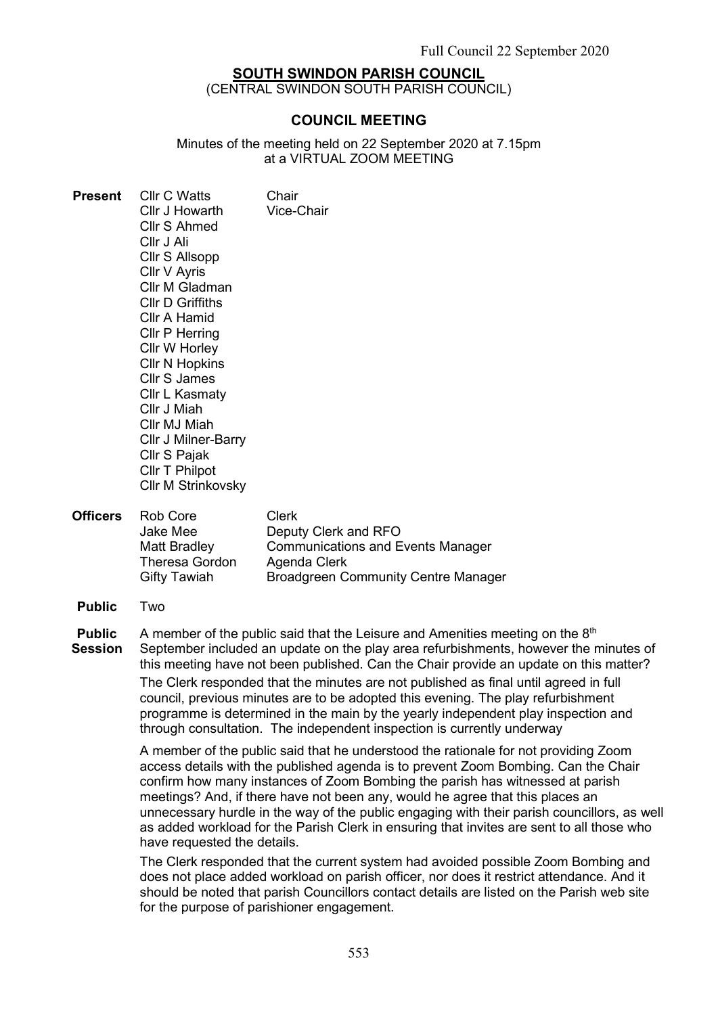# **SOUTH SWINDON PARISH COUNCIL**

(CENTRAL SWINDON SOUTH PARISH COUNCIL)

# COUNCIL MEETING

Minutes of the meeting held on 22 September 2020 at 7.15pm at a VIRTUAL ZOOM MEETING

| <b>Present</b>                  | <b>Cllr C Watts</b><br>Cllr J Howarth<br>Cllr S Ahmed<br>Cllr J Ali<br>Cllr S Allsopp<br>Cllr V Ayris<br>Cllr M Gladman<br><b>CIIr D Griffiths</b><br>Cllr A Hamid<br><b>Cllr P Herring</b><br>Cllr W Horley<br><b>CIIr N Hopkins</b><br><b>Cllr S James</b><br><b>Cllr L Kasmaty</b><br>Cllr J Miah<br>Cllr MJ Miah<br><b>Cllr J Milner-Barry</b><br>Cllr S Pajak<br>Cllr T Philpot<br><b>Cllr M Strinkovsky</b>                                                                                                                                                                                                                                                                                                                                       | Chair<br>Vice-Chair                                                                                                                            |
|---------------------------------|---------------------------------------------------------------------------------------------------------------------------------------------------------------------------------------------------------------------------------------------------------------------------------------------------------------------------------------------------------------------------------------------------------------------------------------------------------------------------------------------------------------------------------------------------------------------------------------------------------------------------------------------------------------------------------------------------------------------------------------------------------|------------------------------------------------------------------------------------------------------------------------------------------------|
| <b>Officers</b>                 | Rob Core<br><b>Jake Mee</b><br><b>Matt Bradley</b><br><b>Theresa Gordon</b><br><b>Gifty Tawiah</b>                                                                                                                                                                                                                                                                                                                                                                                                                                                                                                                                                                                                                                                      | <b>Clerk</b><br>Deputy Clerk and RFO<br><b>Communications and Events Manager</b><br>Agenda Clerk<br><b>Broadgreen Community Centre Manager</b> |
| <b>Public</b>                   | Two                                                                                                                                                                                                                                                                                                                                                                                                                                                                                                                                                                                                                                                                                                                                                     |                                                                                                                                                |
| <b>Public</b><br><b>Session</b> | A member of the public said that the Leisure and Amenities meeting on the 8 <sup>th</sup><br>September included an update on the play area refurbishments, however the minutes of<br>this meeting have not been published. Can the Chair provide an update on this matter?<br>The Clerk responded that the minutes are not published as final until agreed in full<br>council, previous minutes are to be adopted this evening. The play refurbishment<br>programme is determined in the main by the yearly independent play inspection and<br>through consultation. The independent inspection is currently underway                                                                                                                                   |                                                                                                                                                |
|                                 | A member of the public said that he understood the rationale for not providing Zoom<br>access details with the published agenda is to prevent Zoom Bombing. Can the Chair<br>confirm how many instances of Zoom Bombing the parish has witnessed at parish<br>meetings? And, if there have not been any, would he agree that this places an<br>unnecessary hurdle in the way of the public engaging with their parish councillors, as well<br>as added workload for the Parish Clerk in ensuring that invites are sent to all those who<br>have requested the details.<br>The Clerk responded that the current system had avoided possible Zoom Bombing and<br>does not place added workload on parish officer, nor does it restrict attendance. And it |                                                                                                                                                |

does not place added workload on parish officer, nor does it restrict attendance. And it should be noted that parish Councillors contact details are listed on the Parish web site for the purpose of parishioner engagement.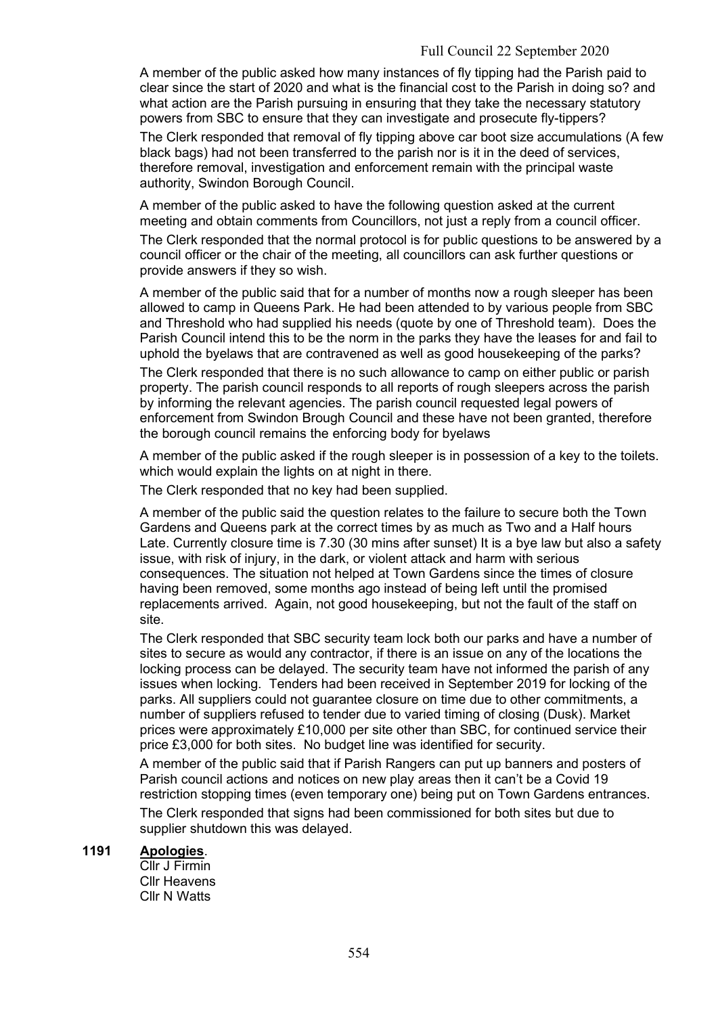A member of the public asked how many instances of fly tipping had the Parish paid to clear since the start of 2020 and what is the financial cost to the Parish in doing so? and what action are the Parish pursuing in ensuring that they take the necessary statutory powers from SBC to ensure that they can investigate and prosecute fly-tippers?

The Clerk responded that removal of fly tipping above car boot size accumulations (A few black bags) had not been transferred to the parish nor is it in the deed of services, therefore removal, investigation and enforcement remain with the principal waste authority, Swindon Borough Council.

A member of the public asked to have the following question asked at the current meeting and obtain comments from Councillors, not just a reply from a council officer.

The Clerk responded that the normal protocol is for public questions to be answered by a council officer or the chair of the meeting, all councillors can ask further questions or provide answers if they so wish.

A member of the public said that for a number of months now a rough sleeper has been allowed to camp in Queens Park. He had been attended to by various people from SBC and Threshold who had supplied his needs (quote by one of Threshold team). Does the Parish Council intend this to be the norm in the parks they have the leases for and fail to uphold the byelaws that are contravened as well as good housekeeping of the parks?

The Clerk responded that there is no such allowance to camp on either public or parish property. The parish council responds to all reports of rough sleepers across the parish by informing the relevant agencies. The parish council requested legal powers of enforcement from Swindon Brough Council and these have not been granted, therefore the borough council remains the enforcing body for byelaws

A member of the public asked if the rough sleeper is in possession of a key to the toilets. which would explain the lights on at night in there.

The Clerk responded that no key had been supplied.

A member of the public said the question relates to the failure to secure both the Town Gardens and Queens park at the correct times by as much as Two and a Half hours Late. Currently closure time is 7.30 (30 mins after sunset) It is a bye law but also a safety issue, with risk of injury, in the dark, or violent attack and harm with serious consequences. The situation not helped at Town Gardens since the times of closure having been removed, some months ago instead of being left until the promised replacements arrived. Again, not good housekeeping, but not the fault of the staff on site.

The Clerk responded that SBC security team lock both our parks and have a number of sites to secure as would any contractor, if there is an issue on any of the locations the locking process can be delayed. The security team have not informed the parish of any issues when locking. Tenders had been received in September 2019 for locking of the parks. All suppliers could not guarantee closure on time due to other commitments, a number of suppliers refused to tender due to varied timing of closing (Dusk). Market prices were approximately £10,000 per site other than SBC, for continued service their price £3,000 for both sites. No budget line was identified for security.

A member of the public said that if Parish Rangers can put up banners and posters of Parish council actions and notices on new play areas then it can't be a Covid 19 restriction stopping times (even temporary one) being put on Town Gardens entrances. The Clerk responded that signs had been commissioned for both sites but due to

supplier shutdown this was delayed.

# 1191 Apologies.

Cllr J Firmin Cllr Heavens Cllr N Watts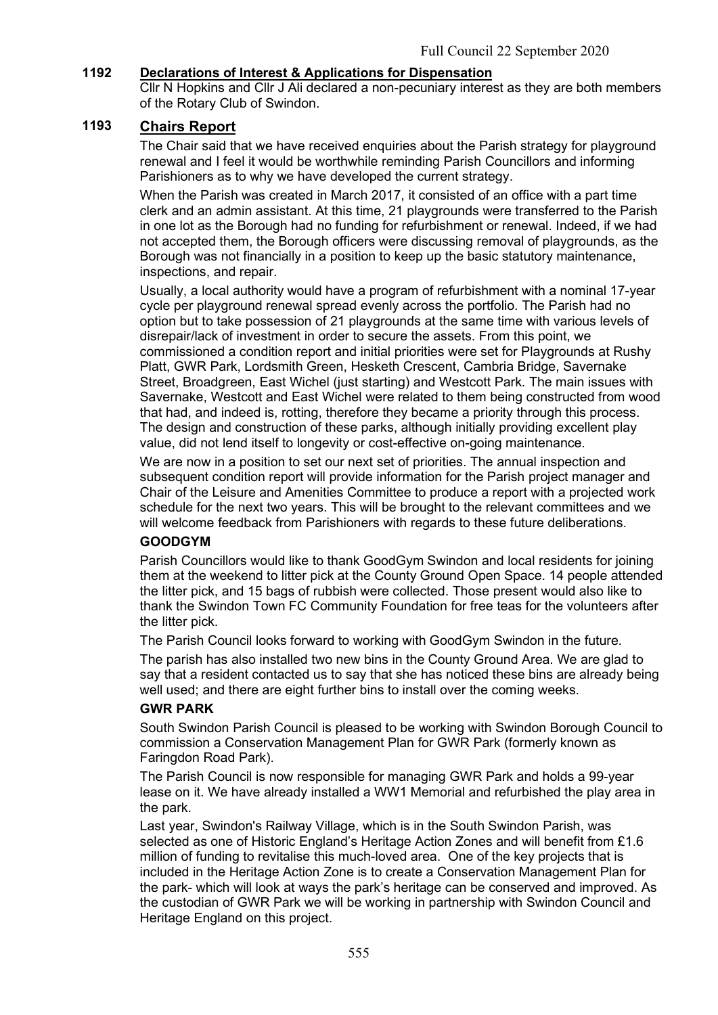# 1192 Declarations of Interest & Applications for Dispensation

Cllr N Hopkins and Cllr J Ali declared a non-pecuniary interest as they are both members of the Rotary Club of Swindon.

### 1193 Chairs Report

The Chair said that we have received enquiries about the Parish strategy for playground renewal and I feel it would be worthwhile reminding Parish Councillors and informing Parishioners as to why we have developed the current strategy.

When the Parish was created in March 2017, it consisted of an office with a part time clerk and an admin assistant. At this time, 21 playgrounds were transferred to the Parish in one lot as the Borough had no funding for refurbishment or renewal. Indeed, if we had not accepted them, the Borough officers were discussing removal of playgrounds, as the Borough was not financially in a position to keep up the basic statutory maintenance, inspections, and repair.

Usually, a local authority would have a program of refurbishment with a nominal 17-year cycle per playground renewal spread evenly across the portfolio. The Parish had no option but to take possession of 21 playgrounds at the same time with various levels of disrepair/lack of investment in order to secure the assets. From this point, we commissioned a condition report and initial priorities were set for Playgrounds at Rushy Platt, GWR Park, Lordsmith Green, Hesketh Crescent, Cambria Bridge, Savernake Street, Broadgreen, East Wichel (just starting) and Westcott Park. The main issues with Savernake, Westcott and East Wichel were related to them being constructed from wood that had, and indeed is, rotting, therefore they became a priority through this process. The design and construction of these parks, although initially providing excellent play value, did not lend itself to longevity or cost-effective on-going maintenance.

We are now in a position to set our next set of priorities. The annual inspection and subsequent condition report will provide information for the Parish project manager and Chair of the Leisure and Amenities Committee to produce a report with a projected work schedule for the next two years. This will be brought to the relevant committees and we will welcome feedback from Parishioners with regards to these future deliberations.

### GOODGYM

Parish Councillors would like to thank GoodGym Swindon and local residents for joining them at the weekend to litter pick at the County Ground Open Space. 14 people attended the litter pick, and 15 bags of rubbish were collected. Those present would also like to thank the Swindon Town FC Community Foundation for free teas for the volunteers after the litter pick.

The Parish Council looks forward to working with GoodGym Swindon in the future.

The parish has also installed two new bins in the County Ground Area. We are glad to say that a resident contacted us to say that she has noticed these bins are already being well used; and there are eight further bins to install over the coming weeks.

### GWR PARK

South Swindon Parish Council is pleased to be working with Swindon Borough Council to commission a Conservation Management Plan for GWR Park (formerly known as Faringdon Road Park).

The Parish Council is now responsible for managing GWR Park and holds a 99-year lease on it. We have already installed a WW1 Memorial and refurbished the play area in the park.

Last year, Swindon's Railway Village, which is in the South Swindon Parish, was selected as one of Historic England's Heritage Action Zones and will benefit from £1.6 million of funding to revitalise this much-loved area. One of the key projects that is included in the Heritage Action Zone is to create a Conservation Management Plan for the park- which will look at ways the park's heritage can be conserved and improved. As the custodian of GWR Park we will be working in partnership with Swindon Council and Heritage England on this project.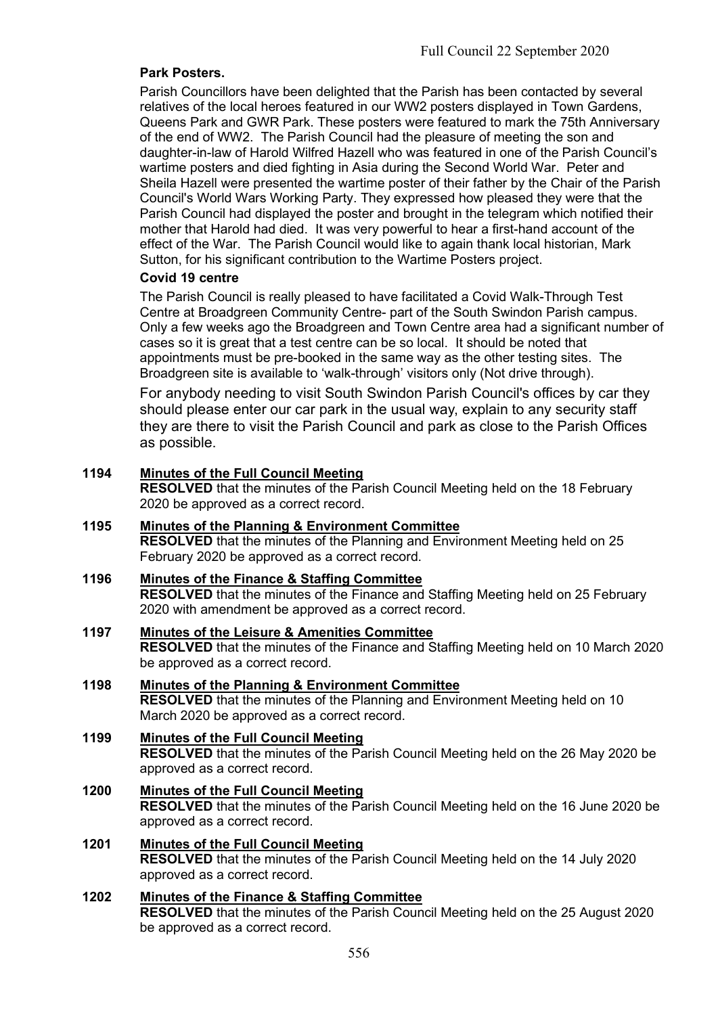### Park Posters.

Parish Councillors have been delighted that the Parish has been contacted by several relatives of the local heroes featured in our WW2 posters displayed in Town Gardens, Queens Park and GWR Park. These posters were featured to mark the 75th Anniversary of the end of WW2. The Parish Council had the pleasure of meeting the son and daughter-in-law of Harold Wilfred Hazell who was featured in one of the Parish Council's wartime posters and died fighting in Asia during the Second World War. Peter and Sheila Hazell were presented the wartime poster of their father by the Chair of the Parish Council's World Wars Working Party. They expressed how pleased they were that the Parish Council had displayed the poster and brought in the telegram which notified their mother that Harold had died. It was very powerful to hear a first-hand account of the effect of the War. The Parish Council would like to again thank local historian, Mark Sutton, for his significant contribution to the Wartime Posters project.

### Covid 19 centre

The Parish Council is really pleased to have facilitated a Covid Walk-Through Test Centre at Broadgreen Community Centre- part of the South Swindon Parish campus. Only a few weeks ago the Broadgreen and Town Centre area had a significant number of cases so it is great that a test centre can be so local. It should be noted that appointments must be pre-booked in the same way as the other testing sites. The Broadgreen site is available to 'walk-through' visitors only (Not drive through).

For anybody needing to visit South Swindon Parish Council's offices by car they should please enter our car park in the usual way, explain to any security staff they are there to visit the Parish Council and park as close to the Parish Offices as possible.

### 1194 Minutes of the Full Council Meeting

RESOLVED that the minutes of the Parish Council Meeting held on the 18 February 2020 be approved as a correct record.

1195 Minutes of the Planning & Environment Committee RESOLVED that the minutes of the Planning and Environment Meeting held on 25 February 2020 be approved as a correct record.

### 1196 Minutes of the Finance & Staffing Committee RESOLVED that the minutes of the Finance and Staffing Meeting held on 25 February 2020 with amendment be approved as a correct record.

- 1197 Minutes of the Leisure & Amenities Committee RESOLVED that the minutes of the Finance and Staffing Meeting held on 10 March 2020 be approved as a correct record.
- 1198 Minutes of the Planning & Environment Committee RESOLVED that the minutes of the Planning and Environment Meeting held on 10 March 2020 be approved as a correct record.
- 1199 Minutes of the Full Council Meeting RESOLVED that the minutes of the Parish Council Meeting held on the 26 May 2020 be approved as a correct record.
- 1200 Minutes of the Full Council Meeting RESOLVED that the minutes of the Parish Council Meeting held on the 16 June 2020 be approved as a correct record.
- 1201 Minutes of the Full Council Meeting RESOLVED that the minutes of the Parish Council Meeting held on the 14 July 2020 approved as a correct record.

### 1202 Minutes of the Finance & Staffing Committee

RESOLVED that the minutes of the Parish Council Meeting held on the 25 August 2020 be approved as a correct record.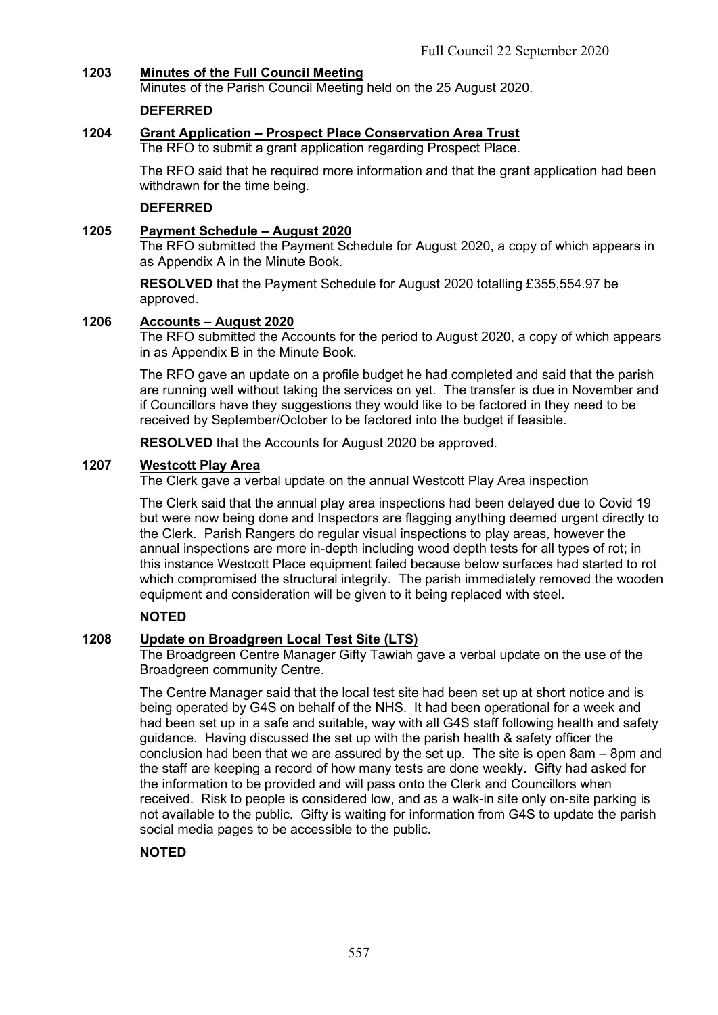# 1203 Minutes of the Full Council Meeting

Minutes of the Parish Council Meeting held on the 25 August 2020.

### DEFERRED

### 1204 Grant Application – Prospect Place Conservation Area Trust

The RFO to submit a grant application regarding Prospect Place.

The RFO said that he required more information and that the grant application had been withdrawn for the time being.

### DEFERRED

### 1205 Payment Schedule – August 2020

The RFO submitted the Payment Schedule for August 2020, a copy of which appears in as Appendix A in the Minute Book.

RESOLVED that the Payment Schedule for August 2020 totalling £355,554.97 be approved.

### 1206 Accounts – August 2020

The RFO submitted the Accounts for the period to August 2020, a copy of which appears in as Appendix B in the Minute Book.

The RFO gave an update on a profile budget he had completed and said that the parish are running well without taking the services on yet. The transfer is due in November and if Councillors have they suggestions they would like to be factored in they need to be received by September/October to be factored into the budget if feasible.

RESOLVED that the Accounts for August 2020 be approved.

#### 1207 Westcott Play Area

The Clerk gave a verbal update on the annual Westcott Play Area inspection

The Clerk said that the annual play area inspections had been delayed due to Covid 19 but were now being done and Inspectors are flagging anything deemed urgent directly to the Clerk. Parish Rangers do regular visual inspections to play areas, however the annual inspections are more in-depth including wood depth tests for all types of rot; in this instance Westcott Place equipment failed because below surfaces had started to rot which compromised the structural integrity. The parish immediately removed the wooden equipment and consideration will be given to it being replaced with steel.

### **NOTED**

### 1208 Update on Broadgreen Local Test Site (LTS)

The Broadgreen Centre Manager Gifty Tawiah gave a verbal update on the use of the Broadgreen community Centre.

The Centre Manager said that the local test site had been set up at short notice and is being operated by G4S on behalf of the NHS. It had been operational for a week and had been set up in a safe and suitable, way with all G4S staff following health and safety guidance. Having discussed the set up with the parish health & safety officer the conclusion had been that we are assured by the set up. The site is open 8am – 8pm and the staff are keeping a record of how many tests are done weekly. Gifty had asked for the information to be provided and will pass onto the Clerk and Councillors when received. Risk to people is considered low, and as a walk-in site only on-site parking is not available to the public. Gifty is waiting for information from G4S to update the parish social media pages to be accessible to the public.

# **NOTED**